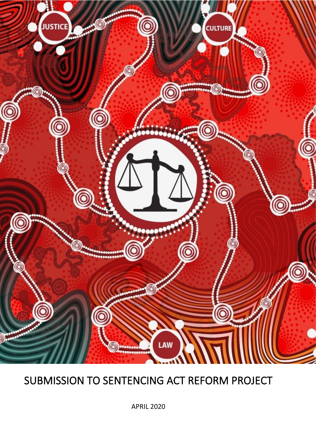

# SUBMISSION TO SENTENCING ACT REFORM PROJECT

APRIL 2020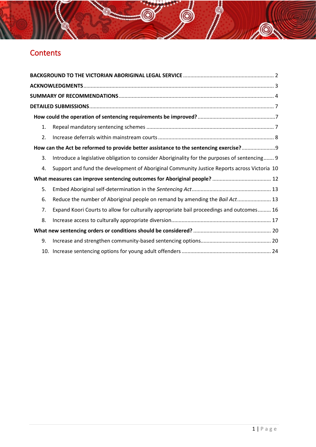# **Contents**

| 1.               |                                                                                               |  |
|------------------|-----------------------------------------------------------------------------------------------|--|
| $\overline{2}$ . |                                                                                               |  |
|                  | How can the Act be reformed to provide better assistance to the sentencing exercise?          |  |
| 3.               | Introduce a legislative obligation to consider Aboriginality for the purposes of sentencing 9 |  |
| 4.               | Support and fund the development of Aboriginal Community Justice Reports across Victoria 10   |  |
|                  |                                                                                               |  |
| 5.               |                                                                                               |  |
| 6.               | Reduce the number of Aboriginal people on remand by amending the Bail Act 13                  |  |
| 7.               | Expand Koori Courts to allow for culturally appropriate bail proceedings and outcomes 16      |  |
| 8.               |                                                                                               |  |
|                  |                                                                                               |  |
| 9.               |                                                                                               |  |
|                  |                                                                                               |  |

后

 $\circledcirc$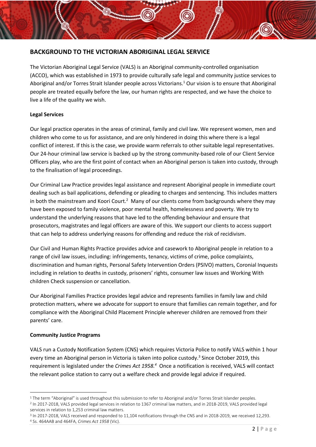#### <span id="page-2-0"></span>**BACKGROUND TO THE VICTORIAN ABORIGINAL LEGAL SERVICE**

The Victorian Aboriginal Legal Service (VALS) is an Aboriginal community-controlled organisation (ACCO), which was established in 1973 to provide culturally safe legal and community justice services to Aboriginal and/or Torres Strait Islander people across Victorians. <sup>1</sup> Our vision is to ensure that Aboriginal people are treated equally before the law, our human rights are respected, and we have the choice to live a life of the quality we wish.

#### **Legal Services**

Our legal practice operates in the areas of criminal, family and civil law. We represent women, men and children who come to us for assistance, and are only hindered in doing this where there is a legal conflict of interest. If this is the case, we provide warm referrals to other suitable legal representatives. Our 24-hour criminal law service is backed up by the strong community-based role of our Client Service Officers play, who are the first point of contact when an Aboriginal person is taken into custody, through to the finalisation of legal proceedings.

Our Criminal Law Practice provides legal assistance and represent Aboriginal people in immediate court dealing such as bail applications, defending or pleading to charges and sentencing. This includes matters in both the mainstream and Koori Court.<sup>2</sup> Many of our clients come from backgrounds where they may have been exposed to family violence, poor mental health, homelessness and poverty. We try to understand the underlying reasons that have led to the offending behaviour and ensure that prosecutors, magistrates and legal officers are aware of this. We support our clients to access support that can help to address underlying reasons for offending and reduce the risk of recidivism.

Our Civil and Human Rights Practice provides advice and casework to Aboriginal people in relation to a range of civil law issues, including: infringements, tenancy, victims of crime, police complaints, discrimination and human rights, Personal Safety Intervention Orders (PSIVO) matters, Coronial Inquests including in relation to deaths in custody, prisoners' rights, consumer law issues and Working With children Check suspension or cancellation.

Our Aboriginal Families Practice provides legal advice and represents families in family law and child protection matters, where we advocate for support to ensure that families can remain together, and for compliance with the Aboriginal Child Placement Principle wherever children are removed from their parents' care.

#### **Community Justice Programs**

VALS run a Custody Notification System (CNS) which requires Victoria Police to notify VALS within 1 hour every time an Aboriginal person in Victoria is taken into police custody.<sup>3</sup> Since October 2019, this requirement is legislated under the *Crimes Act 1958.<sup>4</sup>* Once a notification is received, VALS will contact the relevant police station to carry out a welfare check and provide legal advice if required.

 $1$  The term "Aboriginal" is used throughout this submission to refer to Aboriginal and/or Torres Strait Islander peoples.

<sup>2</sup> In 2017-2018, VALS provided legal services in relation to 1367 criminal law matters, and in 2018-2019, VALS provided legal services in relation to 1,253 criminal law matters.

<sup>&</sup>lt;sup>3</sup> In 2017-2018, VALS received and responded to 11,104 notifications through the CNS and in 2018-2019, we received 12,293. <sup>4</sup> Ss. 464AAB and 464FA, *Crimes Act 1958* (Vic).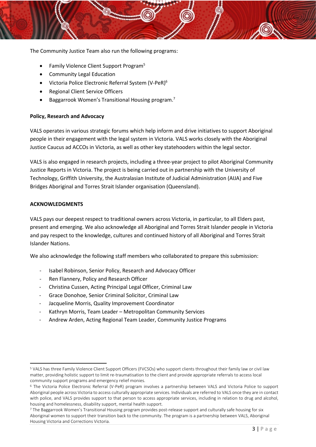The Community Justice Team also run the following programs:

- Family Violence Client Support Program<sup>5</sup>
- Community Legal Education
- Victoria Police Electronic Referral System (V-PeR)<sup>6</sup>
- Regional Client Service Officers
- Baggarrook Women's Transitional Housing program.<sup>7</sup>

#### **Policy, Research and Advocacy**

VALS operates in various strategic forums which help inform and drive initiatives to support Aboriginal people in their engagement with the legal system in Victoria. VALS works closely with the Aboriginal Justice Caucus ad ACCOs in Victoria, as well as other key statehooders within the legal sector.

VALS is also engaged in research projects, including a three-year project to pilot Aboriginal Community Justice Reports in Victoria. The project is being carried out in partnership with the University of Technology, Griffith University, the Australasian Institute of Judicial Administration (AIJA) and Five Bridges Aboriginal and Torres Strait Islander organisation (Queensland).

#### <span id="page-3-0"></span>**ACKNOWLEDGMENTS**

VALS pays our deepest respect to traditional owners across Victoria, in particular, to all Elders past, present and emerging. We also acknowledge all Aboriginal and Torres Strait Islander people in Victoria and pay respect to the knowledge, cultures and continued history of all Aboriginal and Torres Strait Islander Nations.

We also acknowledge the following staff members who collaborated to prepare this submission:

- Isabel Robinson, Senior Policy, Research and Advocacy Officer
- Ren Flannery, Policy and Research Officer
- Christina Cussen, Acting Principal Legal Officer, Criminal Law
- Grace Donohoe, Senior Criminal Solicitor, Criminal Law
- Jacqueline Morris, Quality Improvement Coordinator
- Kathryn Morris, Team Leader Metropolitan Community Services
- Andrew Arden, Acting Regional Team Leader, Community Justice Programs

<sup>5</sup> VALS has three Family Violence Client Support Officers (FVCSOs) who support clients throughout their family law or civil law matter, providing holistic support to limit re-traumatisation to the client and provide appropriate referrals to access local community support programs and emergency relief monies.

<sup>6</sup> The Victoria Police Electronic Referral (V-PeR) program involves a partnership between VALS and Victoria Police to support Aboriginal people across Victoria to access culturally appropriate services. Individuals are referred to VALS once they are in contact with police, and VALS provides support to that person to access appropriate services, including in relation to drug and alcohol, housing and homelessness, disability support, mental health support.

<sup>7</sup> The Baggarrook Women's Transitional Housing program provides post-release support and culturally safe housing for six Aboriginal women to support their transition back to the community. The program is a partnership between VALS, Aboriginal Housing Victoria and Corrections Victoria.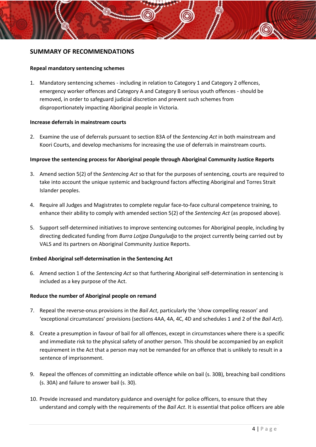#### <span id="page-4-0"></span>**SUMMARY OF RECOMMENDATIONS**

#### **Repeal mandatory sentencing schemes**

1. Mandatory sentencing schemes - including in relation to Category 1 and Category 2 offences, emergency worker offences and Category A and Category B serious youth offences - should be removed, in order to safeguard judicial discretion and prevent such schemes from disproportionately impacting Aboriginal people in Victoria.

#### **Increase deferrals in mainstream courts**

2. Examine the use of deferrals pursuant to section 83A of the *Sentencing Act* in both mainstream and Koori Courts, and develop mechanisms for increasing the use of deferrals in mainstream courts.

#### **Improve the sentencing process for Aboriginal people through Aboriginal Community Justice Reports**

- 3. Amend section 5(2) of the *Sentencing Act* so that for the purposes of sentencing, courts are required to take into account the unique systemic and background factors affecting Aboriginal and Torres Strait Islander peoples.
- 4. Require all Judges and Magistrates to complete regular face-to-face cultural competence training, to enhance their ability to comply with amended section 5(2) of the *Sentencing Act* (as proposed above)*.*
- 5. Support self-determined initiatives to improve sentencing outcomes for Aboriginal people, including by directing dedicated funding from *Burra Lotjpa Dunguludja* to the project currently being carried out by VALS and its partners on Aboriginal Community Justice Reports.

#### **Embed Aboriginal self-determination in the Sentencing Act**

6. Amend section 1 of the *Sentencing Act* so that furthering Aboriginal self-determination in sentencing is included as a key purpose of the Act.

#### **Reduce the number of Aboriginal people on remand**

- 7. Repeal the reverse-onus provisions in the *Bail Act*, particularly the 'show compelling reason' and 'exceptional circumstances' provisions (sections 4AA, 4A, 4C, 4D and schedules 1 and 2 of the *Bail Act*).
- 8. Create a presumption in favour of bail for all offences, except in circumstances where there is a specific and immediate risk to the physical safety of another person. This should be accompanied by an explicit requirement in the Act that a person may not be remanded for an offence that is unlikely to result in a sentence of imprisonment.
- 9. Repeal the offences of committing an indictable offence while on bail (s. 30B), breaching bail conditions (s. 30A) and failure to answer bail (s. 30).
- 10. Provide increased and mandatory guidance and oversight for police officers, to ensure that they understand and comply with the requirements of the *Bail Act*. It is essential that police officers are able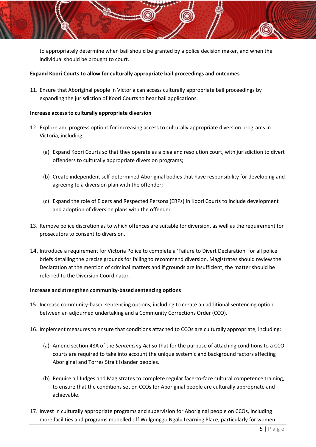to appropriately determine when bail should be granted by a police decision maker, and when the individual should be brought to court.

#### **Expand Koori Courts to allow for culturally appropriate bail proceedings and outcomes**

11. Ensure that Aboriginal people in Victoria can access culturally appropriate bail proceedings by expanding the jurisdiction of Koori Courts to hear bail applications.

#### **Increase access to culturally appropriate diversion**

- 12. Explore and progress options for increasing access to culturally appropriate diversion programs in Victoria, including:
	- (a) Expand Koori Courts so that they operate as a plea and resolution court, with jurisdiction to divert offenders to culturally appropriate diversion programs;
	- (b) Create independent self-determined Aboriginal bodies that have responsibility for developing and agreeing to a diversion plan with the offender;
	- (c) Expand the role of Elders and Respected Persons (ERPs) in Koori Courts to include development and adoption of diversion plans with the offender.
- 13. Remove police discretion as to which offences are suitable for diversion, as well as the requirement for prosecutors to consent to diversion.
- 14. Introduce a requirement for Victoria Police to complete a 'Failure to Divert Declaration' for all police briefs detailing the precise grounds for failing to recommend diversion. Magistrates should review the Declaration at the mention of criminal matters and if grounds are insufficient, the matter should be referred to the Diversion Coordinator.

#### **Increase and strengthen community-based sentencing options**

- 15. Increase community-based sentencing options, including to create an additional sentencing option between an adjourned undertaking and a Community Corrections Order (CCO).
- 16. Implement measures to ensure that conditions attached to CCOs are culturally appropriate, including:
	- (a) Amend section 48A of the *Sentencing Act* so that for the purpose of attaching conditions to a CCO, courts are required to take into account the unique systemic and background factors affecting Aboriginal and Torres Strait Islander peoples.
	- (b) Require all Judges and Magistrates to complete regular face-to-face cultural competence training, to ensure that the conditions set on CCOs for Aboriginal people are culturally appropriate and achievable.
- 17. Invest in culturally appropriate programs and supervision for Aboriginal people on CCOs, including more facilities and programs modelled off Wulgunggo Ngalu Learning Place, particularly for women.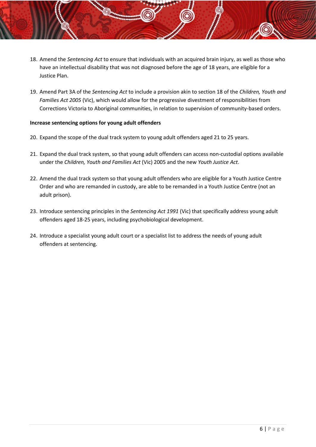- 18. Amend the *Sentencing Act* to ensure that individuals with an acquired brain injury, as well as those who have an intellectual disability that was not diagnosed before the age of 18 years, are eligible for a Justice Plan.
- 19. Amend Part 3A of the *Sentencing Act* to include a provision akin to section 18 of the *Children, Youth and Families Act 2005* (Vic), which would allow for the progressive divestment of responsibilities from Corrections Victoria to Aboriginal communities, in relation to supervision of community-based orders.

#### **Increase sentencing options for young adult offenders**

- 20. Expand the scope of the dual track system to young adult offenders aged 21 to 25 years.
- 21. Expand the dual track system, so that young adult offenders can access non-custodial options available under the *Children, Youth and Families Act* (Vic) 2005 and the new *Youth Justice Act*.
- 22. Amend the dual track system so that young adult offenders who are eligible for a Youth Justice Centre Order and who are remanded in custody, are able to be remanded in a Youth Justice Centre (not an adult prison).
- 23. Introduce sentencing principles in the *Sentencing Act 1991* (Vic) that specifically address young adult offenders aged 18-25 years, including psychobiological development.
- 24. Introduce a specialist young adult court or a specialist list to address the needs of young adult offenders at sentencing.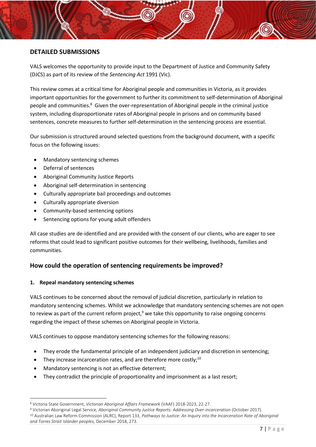#### <span id="page-7-0"></span>**DETAILED SUBMISSIONS**

VALS welcomes the opportunity to provide input to the Department of Justice and Community Safety (DJCS) as part of its review of the *Sentencing Act* 1991 (Vic).

<span id="page-7-4"></span>This review comes at a critical time for Aboriginal people and communities in Victoria, as it provides important opportunities for the government to further its commitment to self-determination of Aboriginal people and communities.<sup>8</sup> Given the over-representation of Aboriginal people in the criminal justice system, including disproportionate rates of Aboriginal people in prisons and on community based sentences, concrete measures to further self-determination in the sentencing process are essential.

Our submission is structured around selected questions from the background document, with a specific focus on the following issues:

- Mandatory sentencing schemes
- Deferral of sentences
- Aboriginal Community Justice Reports
- Aboriginal self-determination in sentencing
- Culturally appropriate bail proceedings and outcomes
- Culturally appropriate diversion
- Community-based sentencing options
- Sentencing options for young adult offenders

All case studies are de-identified and are provided with the consent of our clients, who are eager to see reforms that could lead to significant positive outcomes for their wellbeing, livelihoods, families and communities.

#### <span id="page-7-1"></span>**How could the operation of sentencing requirements be improved?**

#### <span id="page-7-2"></span>**1. Repeal mandatory sentencing schemes**

<span id="page-7-3"></span>VALS continues to be concerned about the removal of judicial discretion, particularly in relation to mandatory sentencing schemes. Whilst we acknowledge that mandatory sentencing schemes are not open to review as part of the current reform project, $9$  we take this opportunity to raise ongoing concerns regarding the impact of these schemes on Aboriginal people in Victoria.

VALS continues to oppose mandatory sentencing schemes for the following reasons:

- They erode the fundamental principle of an independent judiciary and discretion in sentencing;
- They increase incarceration rates, and are therefore more costly; $^{10}$
- Mandatory sentencing is not an effective deterrent;
- They contradict the principle of proportionality and imprisonment as a last resort;

<sup>8</sup> Victoria State Government, *Victorian Aboriginal Affairs Framework* (VAAF) 2018-2023, 22-27.

<sup>9</sup> Victorian Aboriginal Legal Service, *Aboriginal Community Justice Reports: Addressing Over-incarceration* (October 2017). <sup>10</sup> Australian Law Reform Commission (ALRC), Report 133, *Pathways to Justice: An Inquiry into the Incarceration Rate of Aboriginal and Torres Strait Islander peoples,* December 2018, 273.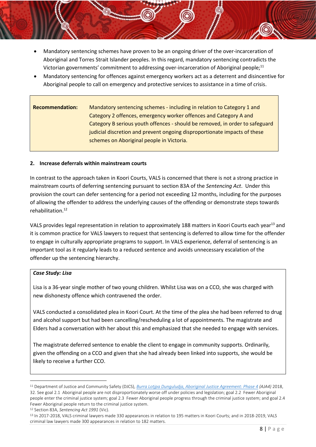- <span id="page-8-1"></span>• Mandatory sentencing schemes have proven to be an ongoing driver of the over-incarceration of Aboriginal and Torres Strait Islander peoples. In this regard, mandatory sentencing contradicts the Victorian governments' commitment to addressing over-incarceration of Aboriginal people;<sup>11</sup>
- Mandatory sentencing for offences against emergency workers act as a deterrent and disincentive for Aboriginal people to call on emergency and protective services to assistance in a time of crisis.

### **Recommendation:** Mandatory sentencing schemes - including in relation to Category 1 and Category 2 offences, emergency worker offences and Category A and Category B serious youth offences - should be removed, in order to safeguard judicial discretion and prevent ongoing disproportionate impacts of these schemes on Aboriginal people in Victoria.

#### <span id="page-8-0"></span>**2. Increase deferrals within mainstream courts**

In contrast to the approach taken in Koori Courts, VALS is concerned that there is not a strong practice in mainstream courts of deferring sentencing pursuant to section 83A of the *Sentencing Act*. Under this provision the court can defer sentencing for a period not exceeding 12 months, including for the purposes of allowing the offender to address the underlying causes of the offending or demonstrate steps towards rehabilitation. 12

VALS provides legal representation in relation to approximately 188 matters in Koori Courts each year<sup>13</sup> and it is common practice for VALS lawyers to request that sentencing is deferred to allow time for the offender to engage in culturally appropriate programs to support. In VALS experience, deferral of sentencing is an important tool as it regularly leads to a reduced sentence and avoids unnecessary escalation of the offender up the sentencing hierarchy.

#### *Case Study: Lisa*

Lisa is a 36-year single mother of two young children. Whilst Lisa was on a CCO, she was charged with new dishonesty offence which contravened the order.

VALS conducted a consolidated plea in Koori Court. At the time of the plea she had been referred to drug and alcohol support but had been cancelling/rescheduling a lot of appointments. The magistrate and Elders had a conversation with her about this and emphasized that she needed to engage with services.

The magistrate deferred sentence to enable the client to engage in community supports. Ordinarily, given the offending on a CCO and given that she had already been linked into supports, she would be likely to receive a further CCO.

<sup>11</sup> Department of Justice and Community Safety (DJCS), *[Burra Lotjpa Dunguludja, Aboriginal Justice Agreement: Phase 4](https://www.aboriginaljustice.vic.gov.au/the-agreement/contents) (AJA4)* 2018, 32. See goal 2.1 Aboriginal people are not disproportionately worse off under policies and legislation; goal 2.2 Fewer Aboriginal people enter the criminal justice system; goal 2.3 Fewer Aboriginal people progress through the criminal justice system; and goal 2.4 Fewer Aboriginal people return to the criminal justice system.

<sup>12</sup> Section 83A, *Sentencing Act 1991* (Vic).

<sup>&</sup>lt;sup>13</sup> In 2017-2018, VALS criminal lawyers made 330 appearances in relation to 195 matters in Koori Courts; and in 2018-2019, VALS criminal law lawyers made 300 appearances in relation to 182 matters.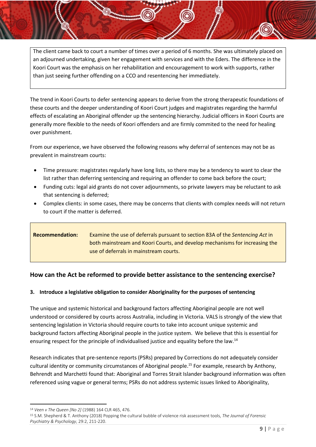The client came back to court a number of times over a period of 6 months. She was ultimately placed on an adjourned undertaking, given her engagement with services and with the Eders. The difference in the Koori Court was the emphasis on her rehabilitation and encouragement to work with supports, rather than just seeing further offending on a CCO and resentencing her immediately.

The trend in Koori Courts to defer sentencing appears to derive from the strong therapeutic foundations of these courts and the deeper understanding of Koori Court judges and magistrates regarding the harmful effects of escalating an Aboriginal offender up the sentencing hierarchy. Judicial officers in Koori Courts are generally more flexible to the needs of Koori offenders and are firmly commited to the need for healing over punishment.

From our experience, we have observed the following reasons why deferral of sentences may not be as prevalent in mainstream courts:

- Time pressure: magistrates regularly have long lists, so there may be a tendency to want to clear the list rather than deferring sentencing and requiring an offender to come back before the court;
- Funding cuts: legal aid grants do not cover adjournments, so private lawyers may be reluctant to ask that sentencing is deferred;
- Complex clients: in some cases, there may be concerns that clients with complex needs will not return to court if the matter is deferred.

| <b>Recommendation:</b> | Examine the use of deferrals pursuant to section 83A of the Sentencing Act in |
|------------------------|-------------------------------------------------------------------------------|
|                        | both mainstream and Koori Courts, and develop mechanisms for increasing the   |
|                        | use of deferrals in mainstream courts.                                        |

#### <span id="page-9-0"></span>**How can the Act be reformed to provide better assistance to the sentencing exercise?**

#### <span id="page-9-1"></span>**3. Introduce a legislative obligation to consider Aboriginality for the purposes of sentencing**

The unique and systemic historical and background factors affecting Aboriginal people are not well understood or considered by courts across Australia, including in Victoria. VALS is strongly of the view that sentencing legislation in Victoria should require courts to take into account unique systemic and background factors affecting Aboriginal people in the justice system. We believe that this is essential for ensuring respect for the principle of individualised justice and equality before the law.<sup>14</sup>

Research indicates that pre-sentence reports (PSRs) prepared by Corrections do not adequately consider cultural identity or community circumstances of Aboriginal people. <sup>15</sup> For example, research by Anthony, Behrendt and Marchetti found that: Aboriginal and Torres Strait Islander background information was often referenced using vague or general terms; PSRs do not address systemic issues linked to Aboriginality,

<sup>14</sup> *Veen v The Queen [No 2]* (1988) 164 CLR 465, 476.

<sup>15</sup> S.M. Shepherd & T. Anthony (2018) Popping the cultural bubble of violence risk assessment tools, *The Journal of Forensic Psychiatry & Psychology*, 29:2, 211-220.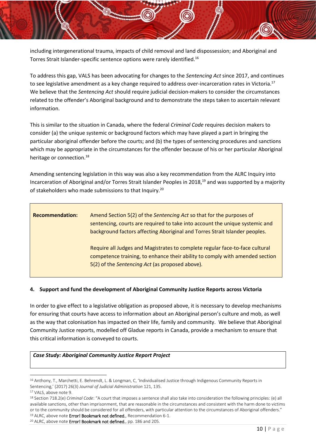<span id="page-10-1"></span>including intergenerational trauma, impacts of child removal and land dispossession; and Aboriginal and Torres Strait Islander-specific sentence options were rarely identified.<sup>16</sup>

To address this gap, VALS has been advocating for changes to the *Sentencing Act* since 2017, and continues to see legislative amendment as a key change required to address over-incarceration rates in Victoria.<sup>17</sup> We believe that the *Sentencing Act* should require judicial decision-makers to consider the circumstances related to the offender's Aboriginal background and to demonstrate the steps taken to ascertain relevant information.

This is similar to the situation in Canada, where the federal *Criminal Code* requires decision makers to consider (a) the unique systemic or background factors which may have played a part in bringing the particular aboriginal offender before the courts; and (b) the types of sentencing procedures and sanctions which may be appropriate in the circumstances for the offender because of his or her particular Aboriginal heritage or connection.<sup>18</sup>

Amending sentencing legislation in this way was also a key recommendation from the ALRC Inquiry into Incarceration of Aboriginal and/or Torres Strait Islander Peoples in 2018,<sup>19</sup> and was supported by a majority of stakeholders who made submissions to that Inquiry.<sup>20</sup>

| <b>Recommendation:</b> | Amend Section 5(2) of the Sentencing Act so that for the purposes of<br>sentencing, courts are required to take into account the unique systemic and<br>background factors affecting Aboriginal and Torres Strait Islander peoples. |
|------------------------|-------------------------------------------------------------------------------------------------------------------------------------------------------------------------------------------------------------------------------------|
|                        | Require all Judges and Magistrates to complete regular face-to-face cultural<br>competence training, to enhance their ability to comply with amended section<br>5(2) of the Sentencing Act (as proposed above).                     |

#### <span id="page-10-0"></span>**4. Support and fund the development of Aboriginal Community Justice Reports across Victoria**

In order to give effect to a legislative obligation as proposed above, it is necessary to develop mechanisms for ensuring that courts have access to information about an Aboriginal person's culture and mob, as well as the way that colonisation has impacted on their life, family and community. We believe that Aboriginal Community Justice reports, modelled off Gladue reports in Canada, provide a mechanism to ensure that this critical information is conveyed to courts.

#### *Case Study: Aboriginal Community Justice Report Project*

<sup>&</sup>lt;sup>16</sup> Anthony, T., Marchetti, E. Behrendt, L. & Longman, C, 'Individualised Justice through Indigenous Community Reports in Sentencing,' (2017) 26(3) *Journal of Judicial Administration* 121, 135.

<sup>17</sup> VALS, above note [9.](#page-7-3) 

<sup>18</sup> Section 718.2(e) *Criminal Code*: "A court that imposes a sentence shall also take into consideration the following principles: (e) all available sanctions, other than imprisonment, that are reasonable in the circumstances and consistent with the harm done to victims or to the community should be considered for all offenders, with particular attention to the circumstances of Aboriginal offenders." <sup>19</sup> ALRC, above note **Error! Bookmark not defined.**, Recommendation 6-1.

<sup>&</sup>lt;sup>20</sup> ALRC, above note **Error! Bookmark not defined.**, pp. 186 and 205.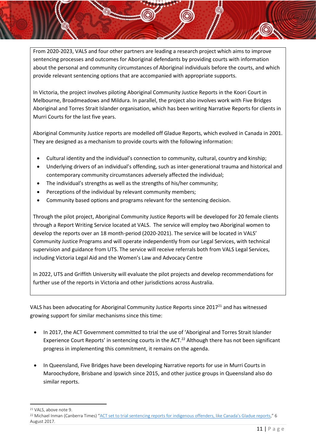From 2020-2023, VALS and four other partners are leading a research project which aims to improve sentencing processes and outcomes for Aboriginal defendants by providing courts with information about the personal and community circumstances of Aboriginal individuals before the courts, and which provide relevant sentencing options that are accompanied with appropriate supports.

In Victoria, the project involves piloting Aboriginal Community Justice Reports in the Koori Court in Melbourne, Broadmeadows and Mildura. In parallel, the project also involves work with Five Bridges Aboriginal and Torres Strait Islander organisation, which has been writing Narrative Reports for clients in Murri Courts for the last five years.

Aboriginal Community Justice reports are modelled off Gladue Reports, which evolved in Canada in 2001. They are designed as a mechanism to provide courts with the following information:

- Cultural identity and the individual's connection to community, cultural, country and kinship;
- Underlying drivers of an individual's offending, such as inter-generational trauma and historical and contemporary community circumstances adversely affected the individual;
- The individual's strengths as well as the strengths of his/her community;
- Perceptions of the individual by relevant community members;
- Community based options and programs relevant for the sentencing decision.

Through the pilot project, Aboriginal Community Justice Reports will be developed for 20 female clients through a Report Writing Service located at VALS. The service will employ two Aboriginal women to develop the reports over an 18 month-period (2020-2021). The service will be located in VALS' Community Justice Programs and will operate independently from our Legal Services, with technical supervision and guidance from UTS. The service will receive referrals both from VALS Legal Services, including Victoria Legal Aid and the Women's Law and Advocacy Centre

In 2022, UTS and Griffith University will evaluate the pilot projects and develop recommendations for further use of the reports in Victoria and other jurisdictions across Australia.

VALS has been advocating for Aboriginal Community Justice Reports since 2017<sup>21</sup> and has witnessed growing support for similar mechanisms since this time:

- In 2017, the ACT Government committed to trial the use of 'Aboriginal and Torres Strait Islander Experience Court Reports' in sentencing courts in the ACT.<sup>22</sup> Although there has not been significant progress in implementing this commitment, it remains on the agenda.
- In Queensland, Five Bridges have been developing Narrative reports for use in Murri Courts in Maroochydore, Brisbane and Ipswich since 2015, and other justice groups in Queensland also do similar reports.

<sup>21</sup> VALS, above note [9.](#page-7-3) 

<sup>22</sup> Michael Inman (Canberra Times) "ACT [set to trial sentencing reports for indigenous offenders, like Canada's Gladue reports,](https://www.canberratimes.com.au/story/6029810/act-set-to-trial-sentencing-reports-for-indigenous-offenders-like-canadas-gladue-reports/)" 6 August 2017.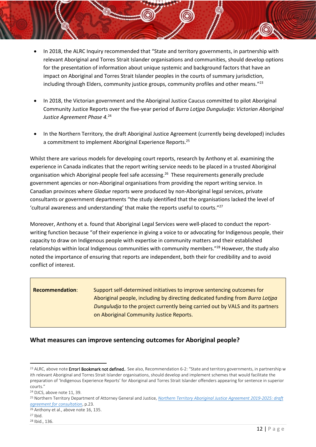- In 2018, the ALRC Inquiry recommended that "State and territory governments, in partnership with relevant Aboriginal and Torres Strait Islander organisations and communities, should develop options for the presentation of information about unique systemic and background factors that have an impact on Aboriginal and Torres Strait Islander peoples in the courts of summary jurisdiction, including through Elders, community justice groups, community profiles and other means."<sup>23</sup>
- In 2018, the Victorian government and the Aboriginal Justice Caucus committed to pilot Aboriginal Community Justice Reports over the five-year period of *Burra Lotjpa Dunguludja*: *Victorian Aboriginal Justice Agreement Phase 4.*<sup>24</sup>
- In the Northern Territory, the draft Aboriginal Justice Agreement (currently being developed) includes a commitment to implement Aboriginal Experience Reports.<sup>25</sup>

Whilst there are various models for developing court reports, research by Anthony et al. examining the experience in Canada indicates that the report writing service needs to be placed in a trusted Aboriginal organisation which Aboriginal people feel safe accessing.<sup>26</sup> These requirements generally preclude government agencies or non-Aboriginal organisations from providing the report writing service. In Canadian provinces where *Gladue* reports were produced by non-Aboriginal legal services, private consultants or government departments "the study identified that the organisations lacked the level of 'cultural awareness and understanding' that make the reports useful to courts."<sup>27</sup>

Moreover, Anthony et a. found that Aboriginal Legal Services were well-placed to conduct the reportwriting function because "of their experience in giving a voice to or advocating for Indigenous people, their capacity to draw on Indigenous people with expertise in community matters and their established relationships within local Indigenous communities with community members."<sup>28</sup> However, the study also noted the importance of ensuring that reports are independent, both their for credibility and to avoid conflict of interest.

**Recommendation**: Support self-determined initiatives to improve sentencing outcomes for Aboriginal people, including by directing dedicated funding from *Burra Lotjpa Dunguludja* to the project currently being carried out by VALS and its partners on Aboriginal Community Justice Reports.

#### <span id="page-12-0"></span>**What measures can improve sentencing outcomes for Aboriginal people?**

<sup>&</sup>lt;sup>23</sup> ALRC, above note Error! Bookmark not defined.. See also, Recommendation 6-2: "State and territory governments, in partnership w ith relevant Aboriginal and Torres Strait Islander organisations, should develop and implement schemes that would facilitate the preparation of 'Indigenous Experience Reports' for Aboriginal and Torres Strait Islander offenders appearing for sentence in superior courts."

<sup>24</sup> DJCS, above note [11,](#page-8-1) 39.

<sup>25</sup> Northern Territory Department of Attorney General and Justice, *[Northern Territory Aboriginal Justice Agreement 2019-2025: draft](https://justice.nt.gov.au/__data/assets/pdf_file/0005/728186/Draft-northern-territory-aboriginal-justice-agreement.pdf)  [agreement for consultation](https://justice.nt.gov.au/__data/assets/pdf_file/0005/728186/Draft-northern-territory-aboriginal-justice-agreement.pdf)*, p.23.

<sup>&</sup>lt;sup>26</sup> Anthony et al., above not[e 16,](#page-10-1) 135.

<sup>27</sup> Ibid.

<sup>28</sup> Ibid., 136.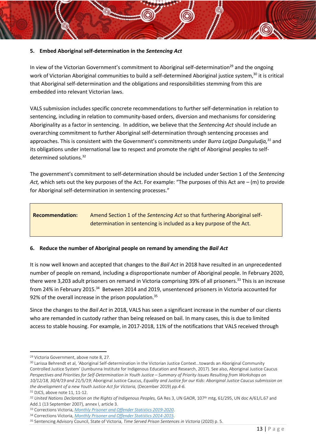#### <span id="page-13-0"></span>**5. Embed Aboriginal self-determination in the** *Sentencing Act*

<span id="page-13-3"></span>In view of the Victorian Government's commitment to Aboriginal self-determination<sup>29</sup> and the ongoing work of Victorian Aboriginal communities to build a self-determined Aboriginal justice system,<sup>30</sup> it is critical that Aboriginal self-determination and the obligations and responsibilities stemming from this are embedded into relevant Victorian laws.

VALS submission includes specific concrete recommendations to further self-determination in relation to sentencing, including in relation to community-based orders, diversion and mechanisms for considering Aboriginality as a factor in sentencing. In addition, we believe that the *Sentencing Act* should include an overarching commitment to further Aboriginal self-determination through sentencing processes and approaches. This is consistent with the Government's commitments under *Burra Lotjpa Dunguludja,<sup>31</sup>* and its obligations under international law to respect and promote the right of Aboriginal peoples to selfdetermined solutions.<sup>32</sup>

The government's commitment to self-determination should be included under Section 1 of the *Sentencing Act,* which sets out the key purposes of the Act. For example: "The purposes of this Act are – (m) to provide for Aboriginal self-determination in sentencing processes."

#### **Recommendation:** Amend Section 1 of the *Sentencing Act* so that furthering Aboriginal selfdetermination in sentencing is included as a key purpose of the Act.

# <span id="page-13-1"></span>**6. Reduce the number of Aboriginal people on remand by amending the** *Bail Act*

It is now well known and accepted that changes to the *Bail Act* in 2018 have resulted in an unprecedented number of people on remand, including a disproportionate number of Aboriginal people. In February 2020, there were 3,203 adult prisoners on remand in Victoria comprising 39% of all prisoners.<sup>33</sup> This is an increase from 24% in February 2015.<sup>34</sup> Between 2014 and 2019, unsentenced prisoners in Victoria accounted for 92% of the overall increase in the prison population.<sup>35</sup>

<span id="page-13-2"></span>Since the changes to the *Bail Act* in 2018, VALS has seen a significant increase in the number of our clients who are remanded in custody rather than being released on bail. In many cases, this is due to limited access to stable housing. For example, in 2017-2018, 11% of the notifications that VALS received through

<sup>29</sup> Victoria Government, above not[e 8,](#page-7-4) 27.

<sup>30</sup> Larissa Behrendt et al, 'Aboriginal Self-determination in the Victorian Justice Context…towards an Aboriginal Community Controlled Justice System' (Jumbunna Institute for Indigenous Education and Research, 2017). See also, Aboriginal Justice Caucus *Perspectives and Priorities for Self-Determination in Youth Justice – Summary of Priority Issues Resulting from Workshops on 10/12/18, 30/4/19 and 21/5/19*; Aboriginal Justice Caucus, *Equality and Justice for our Kids: Aboriginal Justice Caucus submission on the development of a new Youth Justice Act for Victoria,* (December 2019) *pp.4-6.*

<sup>31</sup> DJCS, above note [11,](#page-8-1) 11-12.

<sup>32</sup> *United Nations Declaration on the Rights of Indigenous Peoples,* GA Res 3, UN GAOR, 107th mtg, 61/295, UN doc A/61/L.67 and Add.1 (13 September 2007), annex I, article 3.

<sup>33</sup> Corrections Victoria, *[Monthly Prisoner and Offender Statistics 2019-2020](https://www.corrections.vic.gov.au/prisons/prisoner-and-offender-statistics)*.

<sup>34</sup> Corrections Victoria, *[Monthly Prisoner and Offender Statistics 2014-2015](https://www.corrections.vic.gov.au/prisons/prisoner-and-offender-statistics)*.

<sup>35</sup> Sentencing Advisory Council, State of Victoria, *Time Served Prison Sentences in Victoria* (2020) p. 5.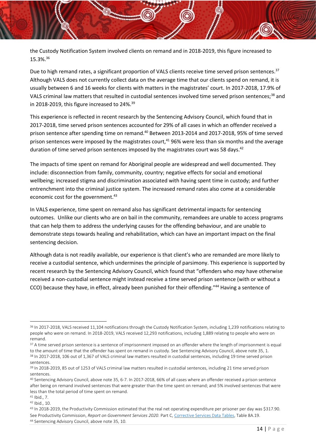the Custody Notification System involved clients on remand and in 2018-2019, this figure increased to 15.3%.<sup>36</sup>

Due to high remand rates, a significant proportion of VALS clients receive time served prison sentences.<sup>37</sup> Although VALS does not currently collect data on the average time that our clients spend on remand, it is usually between 6 and 16 weeks for clients with matters in the magistrates' court. In 2017-2018, 17.9% of VALS criminal law matters that resulted in custodial sentences involved time served prison sentences;<sup>38</sup> and in 2018-2019, this figure increased to 24%.<sup>39</sup>

This experience is reflected in recent research by the Sentencing Advisory Council, which found that in 2017-2018, time served prison sentences accounted for 29% of all cases in which an offender received a prison sentence after spending time on remand.<sup>40</sup> Between 2013-2014 and 2017-2018, 95% of time served prison sentences were imposed by the magistrates court, <sup>41</sup> 96% were less than six months and the average duration of time served prison sentences imposed by the magistrates court was 58 days.<sup>42</sup>

The impacts of time spent on remand for Aboriginal people are widespread and well documented. They include: disconnection from family, community, country; negative effects for social and emotional wellbeing; increased stigma and discrimination associated with having spent time in custody; and further entrenchment into the criminal justice system. The increased remand rates also come at a considerable economic cost for the government.<sup>43</sup>

<span id="page-14-0"></span>In VALS experience, time spent on remand also has significant detrimental impacts for sentencing outcomes. Unlike our clients who are on bail in the community, remandees are unable to access programs that can help them to address the underlying causes for the offending behaviour, and are unable to demonstrate steps towards healing and rehabilitation, which can have an important impact on the final sentencing decision.

Although data is not readily available, our experience is that client's who are remanded are more likely to receive a custodial sentence, which undermines the principle of parsimony. This experience is supported by recent research by the Sentencing Advisory Council, which found that "offenders who *may* have otherwise received a non-custodial sentence might instead receive a time served prison sentence (with or without a CCO) because they have, in effect, already been punished for their offending."44 Having a sentence of

<sup>37</sup> A time served prison sentence is a sentence of imprisonment imposed on an offender where the length of imprisonment is equal to the amount of time that the offender has spent on remand in custody. See Sentencing Advisory Council, above not[e 35,](#page-13-2) 1.

<sup>41</sup> Ibid., 7.

<sup>&</sup>lt;sup>36</sup> In 2017-2018, VALS received 11,104 notifications through the Custody Notification System, including 1,239 notifications relating to people who were on remand. In 2018-2019, VALS received 12,293 notifications, including 1,889 relating to people who were on remand.

<sup>38</sup> In 2017-2018, 106 out of 1,367 of VALS criminal law matters resulted in custodial sentences, including 19 time served prison sentences.

<sup>&</sup>lt;sup>39</sup> In 2018-2019, 85 out of 1253 of VALS criminal law matters resulted in custodial sentences, including 21 time served prison sentences.

<sup>40</sup> Sentencing Advisory Council, above not[e 35,](#page-13-2) 6-7. In 2017-2018, 66% of all cases where an offender received a prison sentence after being on remand involved sentences that were greater than the time spent on remand; and 5% involved sentences that were less than the total period of time spent on remand.

<sup>42</sup> Ibid., 10.

<sup>43</sup> In 2018-2019, the Productivity Commission estimated that the real net operating expenditure per prisoner per day was \$317.90. See Productivity Commission, *Report on Government Services 2020*. Part C[, Corrective Services Data Tables,](https://www.pc.gov.au/research/ongoing/report-on-government-services/2020/justice/corrective-services) Table 8A.19. <sup>44</sup> Sentencing Advisory Council, above not[e 35,](#page-13-2) 10.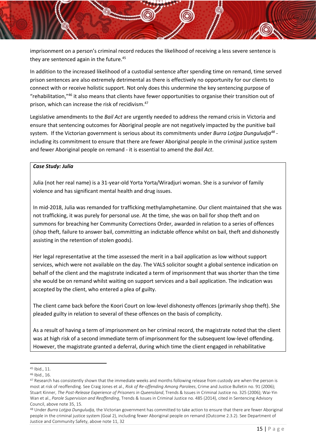imprisonment on a person's criminal record reduces the likelihood of receiving a less severe sentence is they are sentenced again in the future.<sup>45</sup>

In addition to the increased likelihood of a custodial sentence after spending time on remand, time served prison sentences are also extremely detrimental as there is effectively no opportunity for our clients to connect with or receive holistic support. Not only does this undermine the key sentencing purpose of "rehabilitation,"<sup>46</sup> it also means that clients have fewer opportunities to organise their transition out of prison, which can increase the risk of recidivism.<sup>47</sup>

Legislative amendments to the *Bail Act* are urgently needed to address the remand crisis in Victoria and ensure that sentencing outcomes for Aboriginal people are not negatively impacted by the punitive bail system. If the Victorian government is serious about its commitments under *Burra Lotjpa Dunguludja<sup>48</sup>* including its commitment to ensure that there are fewer Aboriginal people in the criminal justice system and fewer Aboriginal people on remand - it is essential to amend the *Bail Act*.

#### *Case Study: Julia*

Julia (not her real name) is a 31-year-old Yorta Yorta/Wiradjuri woman. She is a survivor of family violence and has significant mental health and drug issues.

In mid-2018, Julia was remanded for trafficking methylamphetamine. Our client maintained that she was not trafficking, it was purely for personal use. At the time, she was on bail for shop theft and on summons for breaching her Community Corrections Order, awarded in relation to a series of offences (shop theft, failure to answer bail, committing an indictable offence whilst on bail, theft and dishonestly assisting in the retention of stolen goods).

Her legal representative at the time assessed the merit in a bail application as low without support services, which were not available on the day. The VALS solicitor sought a global sentence indication on behalf of the client and the magistrate indicated a term of imprisonment that was shorter than the time she would be on remand whilst waiting on support services and a bail application. The indication was accepted by the client, who entered a plea of guilty.

The client came back before the Koori Court on low-level dishonesty offences (primarily shop theft). She pleaded guilty in relation to several of these offences on the basis of complicity.

As a result of having a term of imprisonment on her criminal record, the magistrate noted that the client was at high risk of a second immediate term of imprisonment for the subsequent low-level offending. However, the magistrate granted a deferral, during which time the client engaged in rehabilitative

<sup>45</sup> Ibid., 11.

<sup>46</sup> Ibid., 16.

<sup>47</sup> Research has consistently shown that the immediate weeks and months following release from custody are when the person is most at risk of reoffending. See Craig Jones et al., *Risk of Re-offending Among Parolees*, Crime and Justice Bulletin no. 91 (2006); Stuart Kinner, *The Post-Release Experience of Prisoners in Queensland*, Trends & Issues in Criminal Justice no. 325 (2006); Wai-Yin Wan et al., *Parole Supervision and Reoffending*, Trends & Issues in Criminal Justice no. 485 (2014), cited in Sentencing Advisory Council, above not[e 35,](#page-13-2) 15.

<sup>48</sup> Under *Burra Lotjpa Dunguludja,* the Victorian government has committed to take action to ensure that there are fewer Aboriginal people in the criminal justice system (Goal 2), including fewer Aboriginal people on remand (Outcome 2.3.2). See Department of Justice and Community Safety, above note [11,](#page-8-1) 32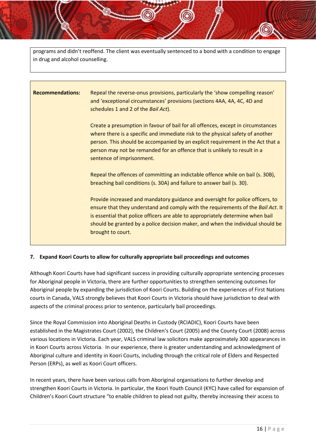programs and didn't reoffend. The client was eventually sentenced to a bond with a condition to engage in drug and alcohol counselling.

# **Recommendations:** Repeal the reverse-onus provisions, particularly the 'show compelling reason' and 'exceptional circumstances' provisions (sections 4AA, 4A, 4C, 4D and schedules 1 and 2 of the *Bail Act*). Create a presumption in favour of bail for all offences, except in circumstances where there is a specific and immediate risk to the physical safety of another person. This should be accompanied by an explicit requirement in the Act that a person may not be remanded for an offence that is unlikely to result in a sentence of imprisonment. Repeal the offences of committing an indictable offence while on bail (s. 30B), breaching bail conditions (s. 30A) and failure to answer bail (s. 30). Provide increased and mandatory guidance and oversight for police officers, to ensure that they understand and comply with the requirements of the *Bail Act*. It is essential that police officers are able to appropriately determine when bail should be granted by a police decision maker, and when the individual should be brought to court.

#### <span id="page-16-0"></span>**7. Expand Koori Courts to allow for culturally appropriate bail proceedings and outcomes**

Although Koori Courts have had significant success in providing culturally appropriate sentencing processes for Aboriginal people in Victoria, there are further opportunities to strengthen sentencing outcomes for Aboriginal people by expanding the jurisdiction of Koori Courts. Building on the experiences of First Nations courts in Canada, VALS strongly believes that Koori Courts in Victoria should have jurisdiction to deal with aspects of the criminal process prior to sentence, particularly bail proceedings.

Since the Royal Commission into Aboriginal Deaths in Custody (RCIADIC), Koori Courts have been established in the Magistrates Court (2002), the Children's Court (2005) and the County Court (2008) across various locations in Victoria. Each year, VALS criminal law solicitors make approximately 300 appearances in in Koori Courts across Victoria. In our experience, there is greater understanding and acknowledgment of Aboriginal culture and identity in Koori Courts, including through the critical role of Elders and Respected Person (ERPs), as well as Koori Court officers.

In recent years, there have been various calls from Aboriginal organisations to further develop and strengthen Koori Courts in Victoria. In particular, the Koori Youth Council (KYC) have called for expansion of Children's Koori Court structure "to enable children to plead not guilty, thereby increasing their access to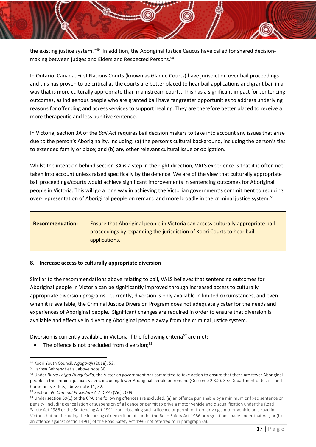the existing justice system."<sup>49</sup> In addition, the Aboriginal Justice Caucus have called for shared decisionmaking between judges and Elders and Respected Persons. 50

In Ontario, Canada, First Nations Courts (known as Gladue Courts) have jurisdiction over bail proceedings and this has proven to be critical as the courts are better placed to hear bail applications and grant bail in a way that is more culturally appropriate than mainstream courts. This has a significant impact for sentencing outcomes, as Indigenous people who are granted bail have far greater opportunities to address underlying reasons for offending and access services to support healing. They are therefore better placed to receive a more therapeutic and less punitive sentence.

In Victoria, section 3A of the *Bail Act* requires bail decision makers to take into account any issues that arise due to the person's Aboriginality, including: (a) the person's cultural background, including the person's ties to extended family or place; and (b) any other relevant cultural issue or obligation.

Whilst the intention behind section 3A is a step in the right direction, VALS experience is that it is often not taken into account unless raised specifically by the defence. We are of the view that culturally appropriate bail proceedings/courts would achieve significant improvements in sentencing outcomes for Aboriginal people in Victoria. This will go a long way in achieving the Victorian government's commitment to reducing over-representation of Aboriginal people on remand and more broadly in the criminal justice system.*<sup>51</sup>*

## **Recommendation:** Ensure that Aboriginal people in Victoria can access culturally appropriate bail proceedings by expanding the jurisdiction of Koori Courts to hear bail applications.

#### <span id="page-17-0"></span>**8. Increase access to culturally appropriate diversion**

Similar to the recommendations above relating to bail, VALS believes that sentencing outcomes for Aboriginal people in Victoria can be significantly improved through increased access to culturally appropriate diversion programs. Currently, diversion is only available in limited circumstances, and even when it is available, the Criminal Justice Diversion Program does not adequately cater for the needs and experiences of Aboriginal people. Significant changes are required in order to ensure that diversion is available and effective in diverting Aboriginal people away from the criminal justice system.

Diversion is currently available in Victoria if the following criteria*<sup>52</sup>* are met:

• The offence is not precluded from diversion;<sup>53</sup>

<sup>49</sup> Koori Youth Council, *Ngaga-dji* (2018), 53.

<sup>50</sup> Larissa Behrendt et al, above not[e 30.](#page-13-3)

<sup>51</sup> Under *Burra Lotjpa Dunguludja,* the Victorian government has committed to take action to ensure that there are fewer Aboriginal people in the criminal justice system, including fewer Aboriginal people on remand (Outcome 2.3.2). See Department of Justice and Community Safety, above note [11,](#page-8-1) 32.

<sup>52</sup> Section 59, *Criminal Procedure Act* (CPA) (Vic) 2009.

<sup>53</sup> Under section 59(1) of the CPA, the following offences are excluded: (a) an offence punishable by a minimum or fixed sentence or penalty, including cancellation or suspension of a licence or permit to drive a motor vehicle and disqualification under the Road Safety Act 1986 or the Sentencing Act 1991 from obtaining such a licence or permit or from driving a motor vehicle on a road in Victoria but not including the incurring of demerit points under the Road Safety Act 1986 or regulations made under that Act; or (b) an offence against section 49(1) of the Road Safety Act 1986 not referred to in paragraph (a).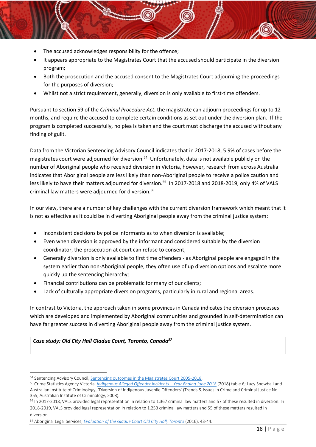- The accused acknowledges responsibility for the offence;
- It appears appropriate to the Magistrates Court that the accused should participate in the diversion program;
- Both the prosecution and the accused consent to the Magistrates Court adjourning the proceedings for the purposes of diversion;
- Whilst not a strict requirement, generally, diversion is only available to first-time offenders.

Pursuant to section 59 of the *Criminal Procedure Act*, the magistrate can adjourn proceedings for up to 12 months, and require the accused to complete certain conditions as set out under the diversion plan. If the program is completed successfully, no plea is taken and the court must discharge the accused without any finding of guilt.

Data from the Victorian Sentencing Advisory Council indicates that in 2017-2018, 5.9% of cases before the magistrates court were adjourned for diversion.<sup>54</sup> Unfortunately, data is not available publicly on the number of Aboriginal people who received diversion in Victoria, however, research from across Australia indicates that Aboriginal people are less likely than non-Aboriginal people to receive a police caution and less likely to have their matters adjourned for diversion.<sup>55</sup> In 2017-2018 and 2018-2019, only 4% of VALS criminal law matters were adjourned for diversion.<sup>56</sup>

In our view, there are a number of key challenges with the current diversion framework which meant that it is not as effective as it could be in diverting Aboriginal people away from the criminal justice system:

- Inconsistent decisions by police informants as to when diversion is available;
- Even when diversion is approved by the informant and considered suitable by the diversion coordinator, the prosecution at court can refuse to consent;
- Generally diversion is only available to first time offenders as Aboriginal people are engaged in the system earlier than non-Aboriginal people, they often use of up diversion options and escalate more quickly up the sentencing hierarchy;
- Financial contributions can be problematic for many of our clients;
- Lack of culturally appropriate diversion programs, particularly in rural and regional areas.

In contrast to Victoria, the approach taken in some provinces in Canada indicates the diversion processes which are developed and implemented by Aboriginal communities and grounded in self-determination can have far greater success in diverting Aboriginal people away from the criminal justice system.

*Case study: Old City Hall Gladue Court, Toronto, Canada<sup>57</sup>*

<sup>54</sup> Sentencing Advisory Council[, Sentencing outcomes in the Magistrates Court 2005-2018.](https://www.sentencingcouncil.vic.gov.au/statistics/sentencing-trends/sentencing-outcomes-magistrates-court)

<sup>55</sup> Crime Statistics Agency Victoria, *[Indigenous Alleged Offender Incidents](https://www.crimestatistics.vic.gov.au/crime-statistics/historical-crime-data/year-ending-31-march-2018/alleged-offender-incidents)—Year Ending June 2018* (2018) table 6; Lucy Snowball and Australian Institute of Criminology, 'Diversion of Indigenous Juvenile Offenders' (Trends & Issues in Crime and Criminal Justice No 355, Australian Institute of Criminology, 2008).

<sup>56</sup> In 2017-2018, VALS provided legal representation in relation to 1,367 criminal law matters and 57 of these resulted in diversion. In 2018-2019, VALS provided legal representation in relation to 1,253 criminal law matters and 55 of these matters resulted in diversion.

<sup>57</sup> Aboriginal Legal Services, *[Evaluation of the Gladue Court Old City Hall, Toronto](https://www.aboriginallegal.ca/assets/gladue-court-evaluation---final.pdf)* (2016), 43-44.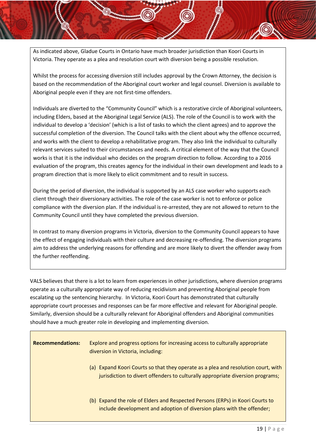As indicated above, Gladue Courts in Ontario have much broader jurisdiction than Koori Courts in Victoria. They operate as a plea and resolution court with diversion being a possible resolution.

Whilst the process for accessing diversion still includes approval by the Crown Attorney, the decision is based on the recommendation of the Aboriginal court worker and legal counsel. Diversion is available to Aboriginal people even if they are not first-time offenders.

Individuals are diverted to the "Community Council" which is a restorative circle of Aboriginal volunteers, including Elders, based at the Aboriginal Legal Service (ALS). The role of the Council is to work with the individual to develop a 'decision' (which is a list of tasks to which the client agrees) and to approve the successful completion of the diversion. The Council talks with the client about why the offence occurred, and works with the client to develop a rehabilitative program. They also link the individual to culturally relevant services suited to their circumstances and needs. A critical element of the way that the Council works is that it is the individual who decides on the program direction to follow. According to a 2016 evaluation of the program, this creates agency for the individual in their own development and leads to a program direction that is more likely to elicit commitment and to result in success.

During the period of diversion, the individual is supported by an ALS case worker who supports each client through their diversionary activities. The role of the case worker is not to enforce or police compliance with the diversion plan. If the individual is re-arrested, they are not allowed to return to the Community Council until they have completed the previous diversion.

In contrast to many diversion programs in Victoria, diversion to the Community Council appears to have the effect of engaging individuals with their culture and decreasing re-offending. The diversion programs aim to address the underlying reasons for offending and are more likely to divert the offender away from the further reoffending.

VALS believes that there is a lot to learn from experiences in other jurisdictions, where diversion programs operate as a culturally appropriate way of reducing recidivism and preventing Aboriginal people from escalating up the sentencing hierarchy. In Victoria, Koori Court has demonstrated that culturally appropriate court processes and responses can be far more effective and relevant for Aboriginal people. Similarly, diversion should be a culturally relevant for Aboriginal offenders and Aboriginal communities should have a much greater role in developing and implementing diversion.

| <b>Recommendations:</b> | Explore and progress options for increasing access to culturally appropriate<br>diversion in Victoria, including:                                                   |
|-------------------------|---------------------------------------------------------------------------------------------------------------------------------------------------------------------|
|                         | (a) Expand Koori Courts so that they operate as a plea and resolution court, with<br>jurisdiction to divert offenders to culturally appropriate diversion programs; |
|                         | (b) Expand the role of Elders and Respected Persons (ERPs) in Koori Courts to<br>include development and adoption of diversion plans with the offender;             |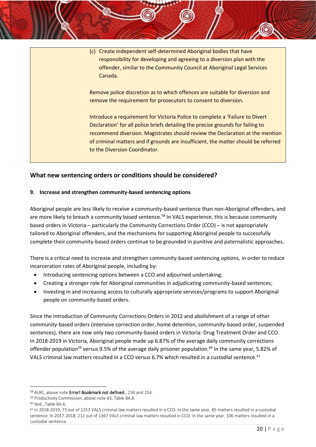(c) Create independent self-determined Aboriginal bodies that have responsibility for developing and agreeing to a diversion plan with the offender, similar to the Community Council at Aboriginal Legal Services Canada.

Remove police discretion as to which offences are suitable for diversion and remove the requirement for prosecutors to consent to diversion.

Introduce a requirement for Victoria Police to complete a 'Failure to Divert Declaration' for all police briefs detailing the precise grounds for failing to recommend diversion. Magistrates should review the Declaration at the mention of criminal matters and if grounds are insufficient, the matter should be referred to the Diversion Coordinator.

#### <span id="page-20-0"></span>**What new sentencing orders or conditions should be considered?**

#### <span id="page-20-1"></span>**9. Increase and strengthen community-based sentencing options**

Aboriginal people are less likely to receive a community-based sentence than non-Aboriginal offenders, and are more likely to breach a community based sentence.<sup>58</sup> In VALS experience, this is because community based orders in Victoria – particularly the Community Corrections Order (CCO) – is not appropriately tailored to Aboriginal offenders, and the mechanisms for supporting Aboriginal people to successfully complete their community-based orders continue to be grounded in punitive and paternalistic approaches.

There is a critical need to increase and strengthen community-based sentencing options, in order to reduce incarceration rates of Aboriginal people, including by:

- Introducing sentencing options between a CCO and adjourned undertaking;
- Creating a stronger role for Aboriginal communities in adjudicating community-based sentences;
- Investing in and increasing access to culturally appropriate services/programs to support Aboriginal people on community-based orders.

Since the introduction of Community Corrections Orders in 2012 and abolishment of a range of other community-based orders (intensive correction order, home detention, community-based order, suspended sentences), there are now only two community-based orders in Victoria: Drug Treatment Order and CCO. In 2018-2019 in Victoria, Aboriginal people made up 6.87% of the average daily community corrections offender population<sup>59</sup> versus 9.5% of the average daily prisoner population.<sup>60</sup> In the same year, 5.82% of VALS criminal law matters resulted in a CCO versus 6.7% which resulted in a custodial sentence.<sup>61</sup>

<sup>58</sup> ALRC, above note Error! Bookmark not defined., 234 and 254.

<sup>59</sup> Productivity Commission, above not[e 43,](#page-14-0) Table 8A.8.

<sup>60</sup> Ibid., Table 8A.6.

<sup>61</sup> In 2018-2019, 73 out of 1253 VALS criminal law matters resulted in a CCO. In the same year, 85 matters resulted in a custodial sentence. In 2017-2018, 212 out of 1367 VALS criminal law matters resulted in CCO. In the same year, 106 matters resulted in a custodial sentence.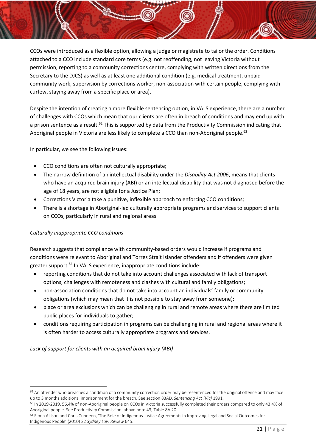CCOs were introduced as a flexible option, allowing a judge or magistrate to tailor the order. Conditions attached to a CCO include standard core terms (e.g. not reoffending, not leaving Victoria without permission, reporting to a community corrections centre, complying with written directions from the Secretary to the DJCS) as well as at least one additional condition (e.g. medical treatment, unpaid community work, supervision by corrections worker, non-association with certain people, complying with curfew, staying away from a specific place or area).

Despite the intention of creating a more flexible sentencing option, in VALS experience, there are a number of challenges with CCOs which mean that our clients are often in breach of conditions and may end up with a prison sentence as a result.<sup>62</sup> This is supported by data from the Productivity Commission indicating that Aboriginal people in Victoria are less likely to complete a CCO than non-Aboriginal people.<sup>63</sup>

In particular, we see the following issues:

- CCO conditions are often not culturally appropriate;
- The narrow definition of an intellectual disability under the *Disability Act 2006*, means that clients who have an acquired brain injury (ABI) or an intellectual disability that was not diagnosed before the age of 18 years, are not eligible for a Justice Plan;
- Corrections Victoria take a punitive, inflexible approach to enforcing CCO conditions;
- There is a shortage in Aboriginal-led culturally appropriate programs and services to support clients on CCOs, particularly in rural and regional areas.

#### *Culturally inappropriate CCO conditions*

Research suggests that compliance with community-based orders would increase if programs and conditions were relevant to Aboriginal and Torres Strait Islander offenders and if offenders were given greater support.<sup>64</sup> In VALS experience, inappropriate conditions include:

- reporting conditions that do not take into account challenges associated with lack of transport options, challenges with remoteness and clashes with cultural and family obligations;
- non-association conditions that do not take into account an individuals' family or community obligations (which may mean that it is not possible to stay away from someone);
- place or area exclusions which can be challenging in rural and remote areas where there are limited public places for individuals to gather;
- conditions requiring participation in programs can be challenging in rural and regional areas where it is often harder to access culturally appropriate programs and services.

*Lack of support for clients with an acquired brain injury (ABI)* 

 $62$  An offender who breaches a condition of a community correction order may be resentenced for the original offence and may face up to 3 months additional imprisonment for the breach. See section 83AD, *Sentencing Act (Vic)* 1991*.*

<sup>63</sup> In 2019-2019, 56.4% of non-Aboriginal people on CCOs in Victoria successfully completed their orders compared to only 43.4% of Aboriginal people. See Productivity Commission, above note [43,](#page-14-0) Table 8A.20.

<sup>&</sup>lt;sup>64</sup> Fiona Allison and Chris Cunneen, 'The Role of Indigenous Justice Agreements in Improving Legal and Social Outcomes for Indigenous People' (2010) 32 *Sydney Law Review* 645.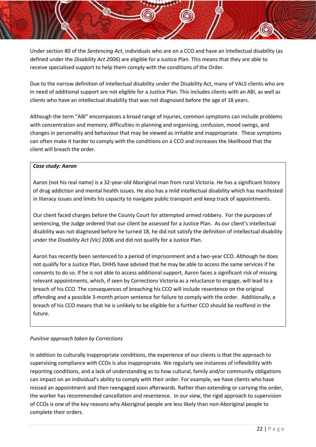Under section 80 of the *Sentencing Act*, individuals who are on a CCO and have an intellectual disability (as defined under the *Disability Act 2006*) are eligible for a Justice Plan. This means that they are able to receive specialised support to help them comply with the conditions of the Order.

Due to the narrow definition of intellectual disability under the Disability Act, many of VALS clients who are in need of additional support are not eligible for a Justice Plan. This includes clients with an ABI, as well as clients who have an intellectual disability that was not diagnosed before the age of 18 years.

Although the term "ABI" encompasses a broad range of injuries, common symptoms can include problems with concentration and memory, difficulties in planning and organising, confusion, mood swings, and changes in personality and behaviour that may be viewed as irritable and inappropriate. These symptoms can often make it harder to comply with the conditions on a CCO and increases the likelihood that the client will breach the order.

#### *Case study: Aaron*

Aaron (not his real name) is a 32-year-old Aboriginal man from rural Victoria. He has a significant history of drug addiction and mental health issues. He also has a mild intellectual disability which has manifested in literacy issues and limits his capacity to navigate public transport and keep track of appointments.

Our client faced charges before the County Court for attempted armed robbery. For the purposes of sentencing, the Judge ordered that our client be assessed for a Justice Plan. As our client's intellectual disability was not diagnosed before he turned 18, he did not satisfy the definition of intellectual disability under the *Disability Act (Vic)* 2006 and did not qualify for a Justice Plan.

Aaron has recently been sentenced to a period of imprisonment and a two-year CCO. Although he does not qualify for a Justice Plan, DHHS have advised that he may be able to access the same services if he consents to do so. If he is not able to access additional support, Aaron faces a significant risk of missing relevant appointments, which, if seen by Corrections Victoria as a reluctance to engage, will lead to a breach of his CCO. The consequences of breaching his CCO will include resentence on the original offending and a possible 3-month prison sentence for failure to comply with the order. Additionally, a breach of his CCO means that he is unlikely to be eligible for a further CCO should be reoffend in the future.

#### *Punitive approach taken by Corrections*

In addition to culturally inappropriate conditions, the experience of our clients is that the approach to supervising compliance with CCOs is also inappropriate. We regularly see instances of inflexibility with reporting conditions, and a lack of understanding as to how cultural, family and/or community obligations can impact on an individual's ability to comply with their order. For example, we have clients who have missed an appointment and then reengaged soon afterwards. Rather than extending or carrying the order, the worker has recommended cancellation and resentence. In our view, the rigid approach to supervision of CCOs is one of the key reasons why Aboriginal people are less likely than non-Aboriginal people to complete their orders.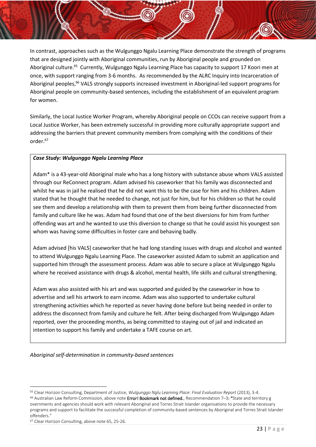<span id="page-23-0"></span>In contrast, approaches such as the Wulgunggo Ngalu Learning Place demonstrate the strength of programs that are designed jointly with Aboriginal communities, run by Aboriginal people and grounded on Aboriginal culture.<sup>65</sup> Currently, Wulgunggo Ngalu Learning Place has capacity to support 17 Koori men at once, with support ranging from 3-6 months. As recommended by the ALRC Inquiry into Incarceration of Aboriginal peoples,<sup>66</sup> VALS strongly supports increased investment in Aboriginal-led support programs for Aboriginal people on community-based sentences, including the establishment of an equivalent program for women.

Similarly, the Local Justice Worker Program, whereby Aboriginal people on CCOs can receive support from a Local Justice Worker, has been extremely successful in providing more culturally appropriate support and addressing the barriers that prevent community members from complying with the conditions of their order.<sup>67</sup>

#### *Case Study: Wulgunggo Ngalu Learning Place*

Adam\* is a 43-year-old Aboriginal male who has a long history with substance abuse whom VALS assisted through our ReConnect program. Adam advised his caseworker that his family was disconnected and whilst he was in jail he realised that he did not want this to be the case for him and his children. Adam stated that he thought that he needed to change, not just for him, but for his children so that he could see them and develop a relationship with them to prevent them from being further disconnected from family and culture like he was. Adam had found that one of the best diversions for him from further offending was art and he wanted to use this diversion to change so that he could assist his youngest son whom was having some difficulties in foster care and behaving badly.

Adam advised [his VALS] caseworker that he had long standing issues with drugs and alcohol and wanted to attend Wulgunggo Ngalu Learning Place. The caseworker assisted Adam to submit an application and supported him through the assessment process. Adam was able to secure a place at Wulgunggo Ngalu where he received assistance with drugs & alcohol, mental health, life skills and cultural strengthening.

Adam was also assisted with his art and was supported and guided by the caseworker in how to advertise and sell his artwork to earn income. Adam was also supported to undertake cultural strengthening activities which he reported as never having done before but being needed in order to address the disconnect from family and culture he felt. After being discharged from Wulgunggo Adam reported, over the proceeding months, as being committed to staying out of jail and indicated an intention to support his family and undertake a TAFE course on art.

*Aboriginal self-determination in community-based sentences*

<sup>65</sup> Clear Horizon Consulting, Department of Justice, *Wulgunggo Nglu Learning Place: Final Evaluation Report* (2013), 3-4.  $66$  Australian Law Reform Commission, above note Error! Bookmark not defined., Recommendation 7-3: "State and territory g overnments and agencies should work with relevant Aboriginal and Torres Strait Islander organisations to provide the necessary programs and support to facilitate the successful completion of community-based sentences by Aboriginal and Torres Strait Islander offenders."

<sup>67</sup> Clear Horizon Consulting, above note [65,](#page-23-0) 25-26.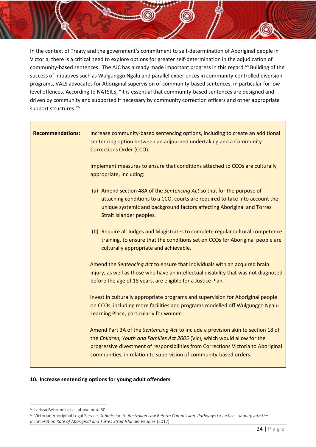In the context of Treaty and the government's commitment to self-determination of Aboriginal people in Victoria, there is a critical need to explore options for greater self-determination in the adjudication of community-based sentences. The AJC has already made important progress in this regard.<sup>68</sup> Building of the success of initiatives such as Wulgunggo Ngalu and parallel experiences in community-controlled diversion programs, VALS advocates for Aboriginal supervision of community-based sentences, in particular for lowlevel offences. According to NATSILS, "it is essential that community-based sentences are designed and driven by community and supported if necessary by community correction officers and other appropriate support structures."<sup>69</sup>

| <b>Recommendations:</b> | Increase community-based sentencing options, including to create an additional<br>sentencing option between an adjourned undertaking and a Community<br>Corrections Order (CCO).                                                                                                                                           |
|-------------------------|----------------------------------------------------------------------------------------------------------------------------------------------------------------------------------------------------------------------------------------------------------------------------------------------------------------------------|
|                         | Implement measures to ensure that conditions attached to CCOs are culturally<br>appropriate, including:                                                                                                                                                                                                                    |
|                         | (a) Amend section 48A of the Sentencing Act so that for the purpose of<br>attaching conditions to a CCO, courts are required to take into account the<br>unique systemic and background factors affecting Aboriginal and Torres<br>Strait Islander peoples.                                                                |
|                         | (b) Require all Judges and Magistrates to complete regular cultural competence<br>training, to ensure that the conditions set on CCOs for Aboriginal people are<br>culturally appropriate and achievable.                                                                                                                  |
|                         | Amend the Sentencing Act to ensure that individuals with an acquired brain<br>injury, as well as those who have an intellectual disability that was not diagnosed<br>before the age of 18 years, are eligible for a Justice Plan.                                                                                          |
|                         | Invest in culturally appropriate programs and supervision for Aboriginal people<br>on CCOs, including more facilities and programs modelled off Wulgunggo Ngalu<br>Learning Place, particularly for women.                                                                                                                 |
|                         | Amend Part 3A of the Sentencing Act to include a provision akin to section 18 of<br>the Children, Youth and Families Act 2005 (Vic), which would allow for the<br>progressive divestment of responsibilities from Corrections Victoria to Aboriginal<br>communities, in relation to supervision of community-based orders. |

#### <span id="page-24-0"></span>**10. Increase sentencing options for young adult offenders**

<sup>68</sup> Larissa Behrendt et al, above not[e 30.](#page-13-3)

<sup>69</sup> Victorian Aboriginal Legal Service, *Submission to Australian Law Reform Commission, Pathways to Justice—Inquiry into the Incarceration Rate of Aboriginal and Torres Strait Islander Peoples* (2017).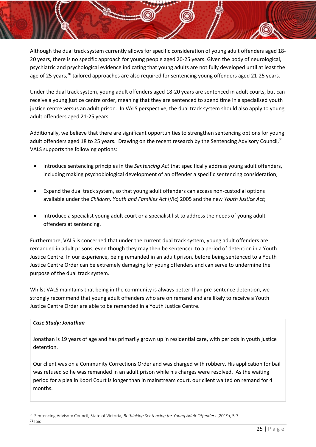Although the dual track system currently allows for specific consideration of young adult offenders aged 18- 20 years, there is no specific approach for young people aged 20-25 years. Given the body of neurological, psychiatric and psychological evidence indicating that young adults are not fully developed until at least the age of 25 years,<sup>70</sup> tailored approaches are also required for sentencing young offenders aged 21-25 years.

Under the dual track system, young adult offenders aged 18-20 years are sentenced in adult courts, but can receive a young justice centre order, meaning that they are sentenced to spend time in a specialised youth justice centre versus an adult prison. In VALS perspective, the dual track system should also apply to young adult offenders aged 21-25 years.

Additionally, we believe that there are significant opportunities to strengthen sentencing options for young adult offenders aged 18 to 25 years. Drawing on the recent research by the Sentencing Advisory Council,<sup>71</sup> VALS supports the following options:

- Introduce sentencing principles in the *Sentencing Act* that specifically address young adult offenders, including making psychobiological development of an offender a specific sentencing consideration;
- Expand the dual track system, so that young adult offenders can access non-custodial options available under the *Children, Youth and Families Act* (Vic) 2005 and the new *Youth Justice Act*;
- Introduce a specialist young adult court or a specialist list to address the needs of young adult offenders at sentencing.

Furthermore, VALS is concerned that under the current dual track system, young adult offenders are remanded in adult prisons, even though they may then be sentenced to a period of detention in a Youth Justice Centre. In our experience, being remanded in an adult prison, before being sentenced to a Youth Justice Centre Order can be extremely damaging for young offenders and can serve to undermine the purpose of the dual track system.

Whilst VALS maintains that being in the community is always better than pre-sentence detention, we strongly recommend that young adult offenders who are on remand and are likely to receive a Youth Justice Centre Order are able to be remanded in a Youth Justice Centre.

#### *Case Study: Jonathan*

Jonathan is 19 years of age and has primarily grown up in residential care, with periods in youth justice detention.

Our client was on a Community Corrections Order and was charged with robbery. His application for bail was refused so he was remanded in an adult prison while his charges were resolved. As the waiting period for a plea in Koori Court is longer than in mainstream court, our client waited on remand for 4 months.

<sup>70</sup> Sentencing Advisory Council, State of Victoria, *Rethinking Sentencing for Young Adult Offenders* (2019), 5-7. <sup>71</sup> Ibid.